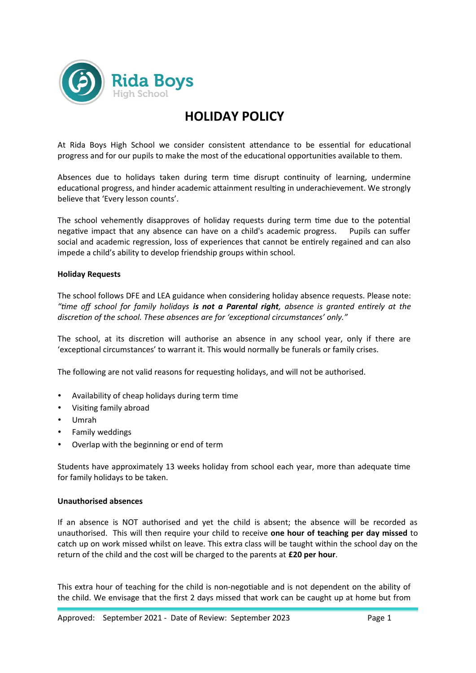

# **HOLIDAY POLICY**

At Rida Boys High School we consider consistent attendance to be essential for educational progress and for our pupils to make the most of the educational opportunities available to them.

Absences due to holidays taken during term time disrupt continuity of learning, undermine educational progress, and hinder academic attainment resulting in underachievement. We strongly believe that 'Every lesson counts'.

The school vehemently disapproves of holiday requests during term time due to the potential negative impact that any absence can have on a child's academic progress. Pupils can suffer social and academic regression, loss of experiences that cannot be entirely regained and can also impede a child's ability to develop friendship groups within school.

#### **Holiday Requests**

The school follows DFE and LEA guidance when considering holiday absence requests. Please note: *"time off school for family holidays is not a Parental right, absence is granted entirely at the discretion of the school. These absences are for 'exceptional circumstances' only."*

The school, at its discretion will authorise an absence in any school year, only if there are 'exceptional circumstances' to warrant it. This would normally be funerals or family crises.

The following are not valid reasons for requesting holidays, and will not be authorised.

- Availability of cheap holidays during term time
- Visiting family abroad
- Umrah
- Family weddings
- Overlap with the beginning or end of term

Students have approximately 13 weeks holiday from school each year, more than adequate time for family holidays to be taken.

#### **Unauthorised absences**

If an absence is NOT authorised and yet the child is absent; the absence will be recorded as unauthorised. This will then require your child to receive **one hour of teaching per day missed** to catch up on work missed whilst on leave. This extra class will be taught within the school day on the return of the child and the cost will be charged to the parents at **£20 per hour**.

This extra hour of teaching for the child is non-negotiable and is not dependent on the ability of the child. We envisage that the first 2 days missed that work can be caught up at home but from